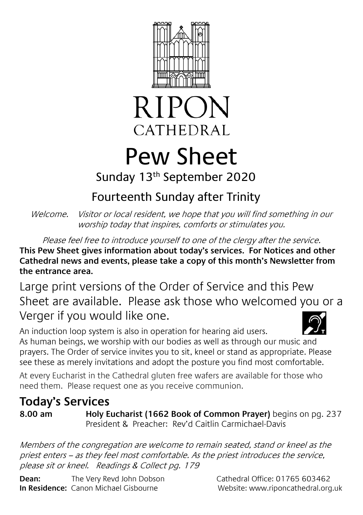



# Pew Sheet

Sunday 13th September 2020

## Fourteenth Sunday after Trinity

Welcome. Visitor or local resident, we hope that you will find something in our worship today that inspires, comforts or stimulates you.

Please feel free to introduce yourself to one of the clergy after the service. **This Pew Sheet gives information about today's services. For Notices and other Cathedral news and events, please take a copy of this month's Newsletter from the entrance area.** 

Large print versions of the Order of Service and this Pew Sheet are available. Please ask those who welcomed you or a Verger if you would like one.



An induction loop system is also in operation for hearing aid users. As human beings, we worship with our bodies as well as through our music and prayers. The Order of service invites you to sit, kneel or stand as appropriate. Please see these as merely invitations and adopt the posture you find most comfortable.

At every Eucharist in the Cathedral gluten free wafers are available for those who need them. Please request one as you receive communion.

### **Today's Services**

**8.00 am Holy Eucharist (1662 Book of Common Prayer)** begins on pg. 237 President & Preacher: Rev'd Caitlin Carmichael-Davis

Members of the congregation are welcome to remain seated, stand or kneel as the priest enters – as they feel most comfortable. As the priest introduces the service, please sit or kneel. Readings & Collect pg. 179

**Dean:** The Very Revd John Dobson Cathedral Office: 01765 603462 **In Residence:** Canon Michael Gisbourne **Website: www.riponcathedral.org.uk**